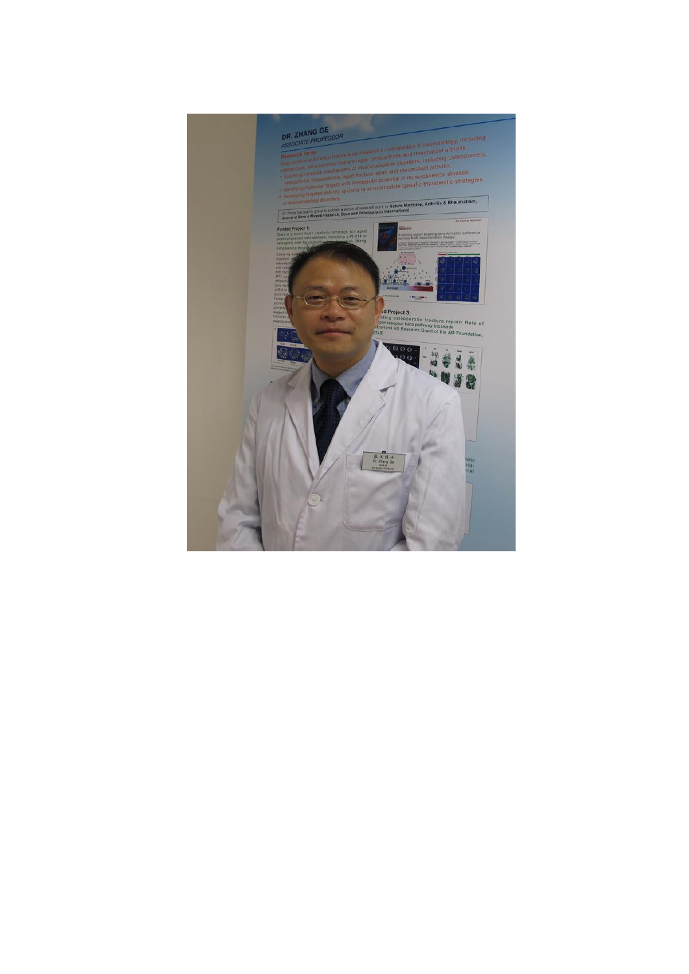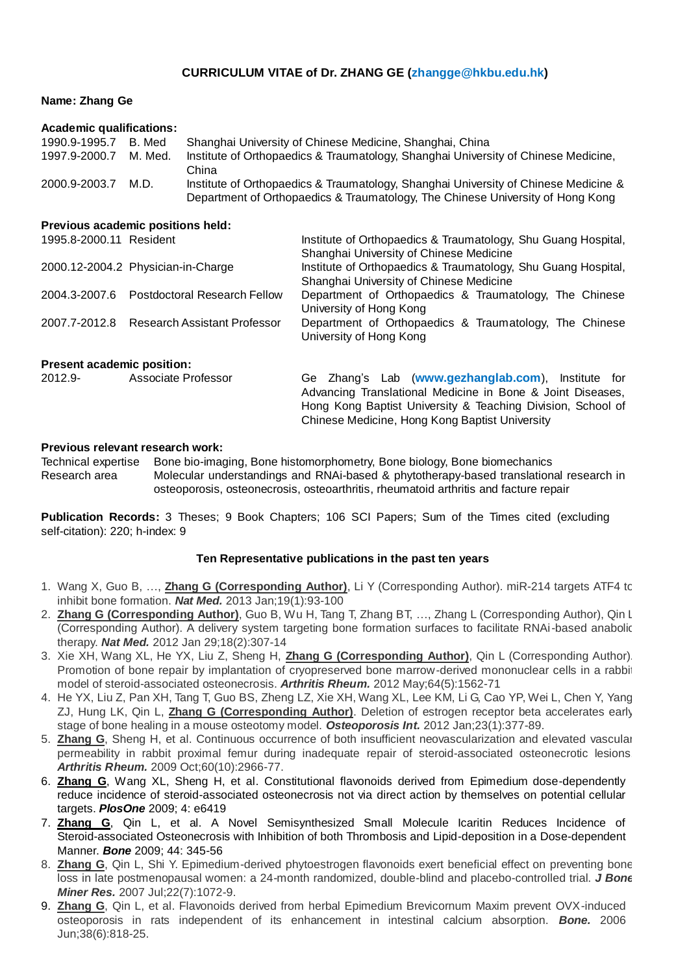# **CURRICULUM VITAE of Dr. ZHANG GE [\(zhangge@hkbu.edu.hk\)](mailto:zhangge@hkbu.edu.hk)**

# **Name: Zhang Ge**

## **Academic qualifications:**

| 1990.9-1995.7 | B. Med  | Shanghai University of Chinese Medicine, Shanghai, China                            |  |
|---------------|---------|-------------------------------------------------------------------------------------|--|
| 1997.9-2000.7 | M. Med. | Institute of Orthopaedics & Traumatology, Shanghai University of Chinese Medicine,  |  |
|               |         | China                                                                               |  |
| 2000.9-2003.7 | M.D.    | Institute of Orthopaedics & Traumatology, Shanghai University of Chinese Medicine & |  |
|               |         | Department of Orthopaedics & Traumatology, The Chinese University of Hong Kong      |  |

#### **Previous academic positions held:**

| 1995.8-2000.11 Resident           |                                            | Institute of Orthopaedics & Traumatology, Shu Guang Hospital,                                                                                                                                                       |
|-----------------------------------|--------------------------------------------|---------------------------------------------------------------------------------------------------------------------------------------------------------------------------------------------------------------------|
|                                   |                                            | Shanghai University of Chinese Medicine                                                                                                                                                                             |
|                                   | 2000.12-2004.2 Physician-in-Charge         | Institute of Orthopaedics & Traumatology, Shu Guang Hospital,                                                                                                                                                       |
|                                   |                                            | Shanghai University of Chinese Medicine                                                                                                                                                                             |
|                                   | 2004.3-2007.6 Postdoctoral Research Fellow | Department of Orthopaedics & Traumatology, The Chinese                                                                                                                                                              |
|                                   |                                            | University of Hong Kong                                                                                                                                                                                             |
|                                   | 2007.7-2012.8 Research Assistant Professor | Department of Orthopaedics & Traumatology, The Chinese                                                                                                                                                              |
|                                   |                                            | University of Hong Kong                                                                                                                                                                                             |
| <b>Present academic position:</b> |                                            |                                                                                                                                                                                                                     |
| 2012.0                            | Acconiato Profeccor                        | $Co$ $Zh$ <sub>2</sub> n <sup>'</sup> s $I$ <sub>2</sub> h $\left(\mu\right)$ $\left(\mu\right)$ $\left(\mu\right)$ $\left(\mu\right)$ $\left(\mu\right)$ $\left(\mu\right)$ $\left(\mu\right)$<br>Inetituto<br>f∩r |

2012.9- Associate Professor Ge Zhang's Lab (**[www.gezhanglab.com](http://www.gezhanglab.com/)**), Institute for Advancing Translational Medicine in Bone & Joint Diseases, Hong Kong Baptist University & Teaching Division, School of Chinese Medicine, Hong Kong Baptist University

## **Previous relevant research work:**

Technical expertise Bone bio-imaging, Bone histomorphometry, Bone biology, Bone biomechanics Research area Molecular understandings and RNAi-based & phytotherapy-based translational research in osteoporosis, osteonecrosis, osteoarthritis, rheumatoid arthritis and facture repair

**Publication Records:** 3 Theses; 9 Book Chapters; 106 SCI Papers; Sum of the Times cited (excluding self-citation): 220; h-index: 9

#### **Ten Representative publications in the past ten years**

- 1. Wang X, Guo B, …, **Zhang G (Corresponding Author)**, Li Y (Corresponding Author). miR-214 targets ATF4 to inhibit bone formation. *Nat Med.* 2013 Jan;19(1):93-100
- 2. **Zhang G (Corresponding Author)**, Guo B, Wu H, Tang T, Zhang BT, …, Zhang L (Corresponding Author), Qin L (Corresponding Author). A delivery system targeting bone formation surfaces to facilitate RNAi-based anabolic therapy. *Nat Med.* 2012 Jan 29;18(2):307-14
- 3. Xie XH, Wang XL, He YX, Liu Z, Sheng H, **Zhang G (Corresponding Author)**, Qin L (Corresponding Author). Promotion of bone repair by implantation of cryopreserved bone marrow-derived mononuclear cells in a rabbit model of steroid-associated osteonecrosis. *Arthritis Rheum.* 2012 May;64(5):1562-71
- 4. He YX, Liu Z, Pan XH, Tang T, Guo BS, Zheng LZ, Xie XH, Wang XL, Lee KM, Li G, Cao YP, Wei L, Chen Y, Yang ZJ, Hung LK, Qin L, **Zhang G (Corresponding Author)**. Deletion of estrogen receptor beta accelerates early stage of bone healing in a mouse osteotomy model. *Osteoporosis Int.* 2012 Jan;23(1):377-89.
- 5. **Zhang G**, Sheng H, et al. Continuous occurrence of both insufficient neovascularization and elevated vascular permeability in rabbit proximal femur during inadequate repair of steroid-associated osteonecrotic lesions. *Arthritis Rheum.* 2009 Oct;60(10):2966-77.
- 6. **Zhang G**, Wang XL, Sheng H, et al. Constitutional flavonoids derived from Epimedium dose-dependently reduce incidence of steroid-associated osteonecrosis not via direct action by themselves on potential cellular targets. *PlosOne* 2009; 4: e6419
- 7. **Zhang G**, Qin L, et al. A Novel Semisynthesized Small Molecule Icaritin Reduces Incidence of Steroid-associated Osteonecrosis with Inhibition of both Thrombosis and Lipid-deposition in a Dose-dependent Manner. *Bone* 2009; 44: 345-56
- 8. **Zhang G**, Qin L, Shi Y. Epimedium-derived phytoestrogen flavonoids exert beneficial effect on preventing bone loss in late postmenopausal women: a 24-month randomized, double-blind and placebo-controlled trial. *J Bone Miner Res.* 2007 Jul;22(7):1072-9.
- 9. **Zhang G**, Qin L, et al. Flavonoids derived from herbal Epimedium Brevicornum Maxim prevent OVX-induced osteoporosis in rats independent of its enhancement in intestinal calcium absorption. *Bone.* 2006 Jun;38(6):818-25.